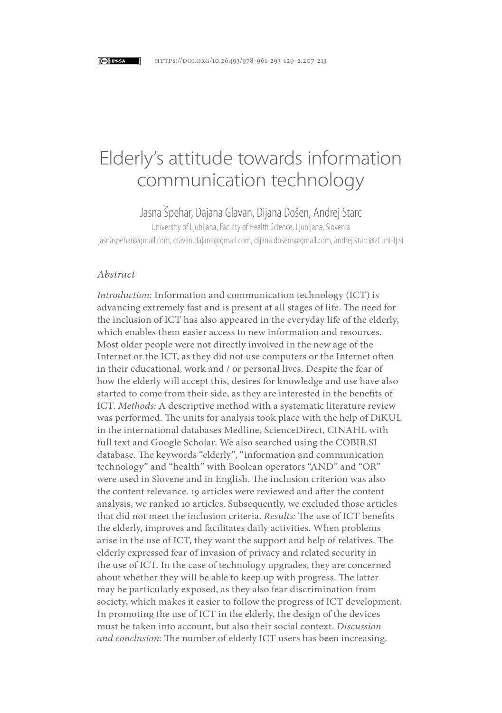#### C BY-SA

# Elderly's attitude towards information communication technology

Jasna Špehar, Dajana Glavan, Dijana Došen, Andrej Starc

University of Ljubljana, Faculty of Health Science, Ljubljana, Slovenia jasnaspehar@gmail.com, glavan.dajana@gmail.com, dijana.dosen1@gmail.com, andrej.starc@zf.uni-lj.si

# *Abstract*

*Introduction:* Information and communication technology (ICT) is advancing extremely fast and is present at all stages of life. The need for the inclusion of ICT has also appeared in the everyday life of the elderly, which enables them easier access to new information and resources. Most older people were not directly involved in the new age of the Internet or the ICT, as they did not use computers or the Internet often in their educational, work and / or personal lives. Despite the fear of how the elderly will accept this, desires for knowledge and use have also started to come from their side, as they are interested in the benefits of ICT. *Methods:* A descriptive method with a systematic literature review was performed. The units for analysis took place with the help of DiKUL in the international databases Medline, ScienceDirect, CINAHL with full text and Google Scholar. We also searched using the COBIB.SI database. The keywords "elderly", "information and communication technology" and "health" with Boolean operators "AND" and "OR" were used in Slovene and in English. The inclusion criterion was also the content relevance. 19 articles were reviewed and after the content analysis, we ranked 10 articles. Subsequently, we excluded those articles that did not meet the inclusion criteria. *Results:* The use of ICT benefits the elderly, improves and facilitates daily activities. When problems arise in the use of ICT, they want the support and help of relatives. The elderly expressed fear of invasion of privacy and related security in the use of ICT. In the case of technology upgrades, they are concerned about whether they will be able to keep up with progress. The latter may be particularly exposed, as they also fear discrimination from society, which makes it easier to follow the progress of ICT development. In promoting the use of ICT in the elderly, the design of the devices must be taken into account, but also their social context. *Discussion and conclusion:* The number of elderly ICT users has been increasing.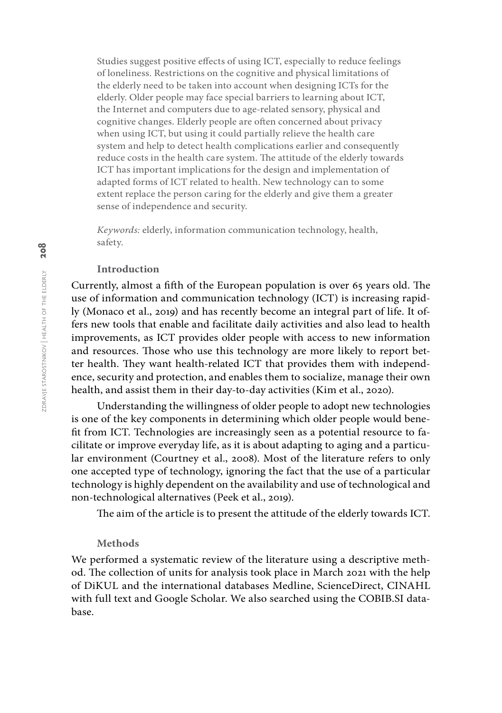Studies suggest positive effects of using ICT, especially to reduce feelings of loneliness. Restrictions on the cognitive and physical limitations of the elderly need to be taken into account when designing ICTs for the elderly. Older people may face special barriers to learning about ICT, the Internet and computers due to age-related sensory, physical and cognitive changes. Elderly people are often concerned about privacy when using ICT, but using it could partially relieve the health care system and help to detect health complications earlier and consequently reduce costs in the health care system. The attitude of the elderly towards ICT has important implications for the design and implementation of adapted forms of ICT related to health. New technology can to some extent replace the person caring for the elderly and give them a greater sense of independence and security.

*Keywords:* elderly, information communication technology, health, safety.

# **Introduction**

Currently, almost a fifth of the European population is over 65 years old. The use of information and communication technology (ICT) is increasing rapidly (Monaco et al., 2019) and has recently become an integral part of life. It offers new tools that enable and facilitate daily activities and also lead to health improvements, as ICT provides older people with access to new information and resources. Those who use this technology are more likely to report better health. They want health-related ICT that provides them with independence, security and protection, and enables them to socialize, manage their own health, and assist them in their day-to-day activities (Kim et al., 2020).

Understanding the willingness of older people to adopt new technologies is one of the key components in determining which older people would benefit from ICT. Technologies are increasingly seen as a potential resource to facilitate or improve everyday life, as it is about adapting to aging and a particular environment (Courtney et al., 2008). Most of the literature refers to only one accepted type of technology, ignoring the fact that the use of a particular technology is highly dependent on the availability and use of technological and non-technological alternatives (Peek et al., 2019).

The aim of the article is to present the attitude of the elderly towards ICT.

#### **Methods**

We performed a systematic review of the literature using a descriptive method. The collection of units for analysis took place in March 2021 with the help of DiKUL and the international databases Medline, ScienceDirect, CINAHL with full text and Google Scholar. We also searched using the COBIB.SI database.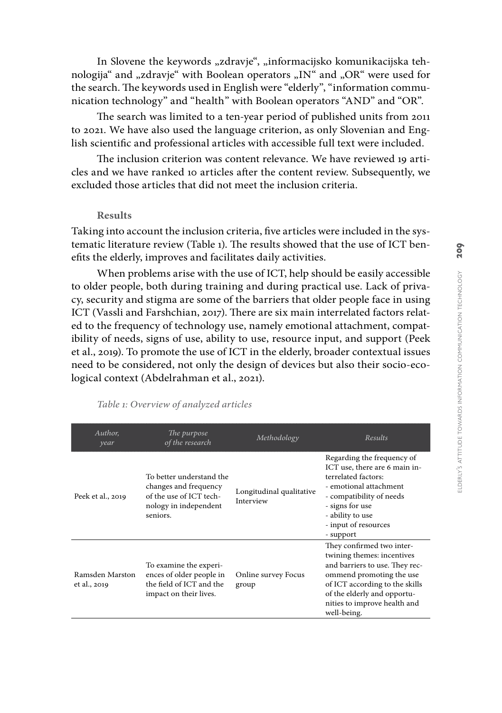In Slovene the keywords "zdravje", "informacijsko komunikacijska tehnologija" and "zdravje" with Boolean operators "IN" and "OR" were used for the search. The keywords used in English were "elderly", "information commu nication technology" and "health" with Boolean operators "AND" and "OR".

The search was limited to a ten-year period of published units from 2011 to 2021. We have also used the language criterion, as only Slovenian and Eng lish scientific and professional articles with accessible full text were included.

The inclusion criterion was content relevance. We have reviewed 19 arti cles and we have ranked 10 articles after the content review. Subsequently, we excluded those articles that did not meet the inclusion criteria.

# **Results**

Taking into account the inclusion criteria, five articles were included in the sys tematic literature review (Table 1). The results showed that the use of ICT ben efits the elderly, improves and facilitates daily activities.

When problems arise with the use of ICT, help should be easily accessible to older people, both during training and during practical use. Lack of priva cy, security and stigma are some of the barriers that older people face in using ICT (Vassli and Farshchian, 2017). There are six main interrelated factors relat ed to the frequency of technology use, namely emotional attachment, compat ibility of needs, signs of use, ability to use, resource input, and support (Peek et al., 2019). To promote the use of ICT in the elderly, broader contextual issues need to be considered, not only the design of devices but also their socio-eco logical context (Abdelrahman et al., 2021).

| Author,<br>year                 | The purpose<br>of the research                                                                                    | Methodology                           | Results                                                                                                                                                                                                                               |
|---------------------------------|-------------------------------------------------------------------------------------------------------------------|---------------------------------------|---------------------------------------------------------------------------------------------------------------------------------------------------------------------------------------------------------------------------------------|
| Peek et al., 2019               | To better understand the<br>changes and frequency<br>of the use of ICT tech-<br>nology in independent<br>seniors. | Longitudinal qualitative<br>Interview | Regarding the frequency of<br>ICT use, there are 6 main in-<br>terrelated factors:<br>- emotional attachment<br>- compatibility of needs<br>- signs for use<br>- ability to use<br>- input of resources<br>- support                  |
| Ramsden Marston<br>et al., 2019 | To examine the experi-<br>ences of older people in<br>the field of ICT and the<br>impact on their lives.          | Online survey Focus<br>group          | They confirmed two inter-<br>twining themes: incentives<br>and barriers to use. They rec-<br>ommend promoting the use<br>of ICT according to the skills<br>of the elderly and opportu-<br>nities to improve health and<br>well-being. |

*Table 1: Overview of analyzed articles*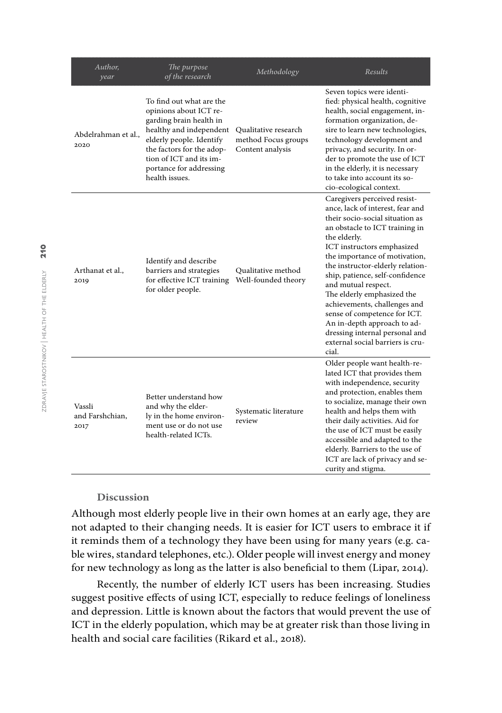| Author,<br>year                   | The purpose<br>of the research                                                                                                                                                                                                            | Methodology                                                     | Results                                                                                                                                                                                                                                                                                                                                                                                                                                                                                                                        |
|-----------------------------------|-------------------------------------------------------------------------------------------------------------------------------------------------------------------------------------------------------------------------------------------|-----------------------------------------------------------------|--------------------------------------------------------------------------------------------------------------------------------------------------------------------------------------------------------------------------------------------------------------------------------------------------------------------------------------------------------------------------------------------------------------------------------------------------------------------------------------------------------------------------------|
| Abdelrahman et al.,<br>2020       | To find out what are the<br>opinions about ICT re-<br>garding brain health in<br>healthy and independent<br>elderly people. Identify<br>the factors for the adop-<br>tion of ICT and its im-<br>portance for addressing<br>health issues. | Qualitative research<br>method Focus groups<br>Content analysis | Seven topics were identi-<br>fied: physical health, cognitive<br>health, social engagement, in-<br>formation organization, de-<br>sire to learn new technologies,<br>technology development and<br>privacy, and security. In or-<br>der to promote the use of ICT<br>in the elderly, it is necessary<br>to take into account its so-<br>cio-ecological context.                                                                                                                                                                |
| Arthanat et al.,<br>2019          | Identify and describe<br>barriers and strategies<br>for effective ICT training<br>for older people.                                                                                                                                       | Qualitative method<br>Well-founded theory                       | Caregivers perceived resist-<br>ance, lack of interest, fear and<br>their socio-social situation as<br>an obstacle to ICT training in<br>the elderly.<br>ICT instructors emphasized<br>the importance of motivation,<br>the instructor-elderly relation-<br>ship, patience, self-confidence<br>and mutual respect.<br>The elderly emphasized the<br>achievements, challenges and<br>sense of competence for ICT.<br>An in-depth approach to ad-<br>dressing internal personal and<br>external social barriers is cru-<br>cial. |
| Vassli<br>and Farshchian,<br>2017 | Better understand how<br>and why the elder-<br>ly in the home environ-<br>ment use or do not use<br>health-related ICTs.                                                                                                                  | Systematic literature<br>review                                 | Older people want health-re-<br>lated ICT that provides them<br>with independence, security<br>and protection, enables them<br>to socialize, manage their own<br>health and helps them with<br>their daily activities. Aid for<br>the use of ICT must be easily<br>accessible and adapted to the<br>elderly. Barriers to the use of<br>ICT are lack of privacy and se-<br>curity and stigma.                                                                                                                                   |

# **Discussion**

Although most elderly people live in their own homes at an early age, they are not adapted to their changing needs. It is easier for ICT users to embrace it if it reminds them of a technology they have been using for many years (e.g. cable wires, standard telephones, etc.). Older people will invest energy and money for new technology as long as the latter is also beneficial to them (Lipar, 2014).

Recently, the number of elderly ICT users has been increasing. Studies suggest positive effects of using ICT, especially to reduce feelings of loneliness and depression. Little is known about the factors that would prevent the use of ICT in the elderly population, which may be at greater risk than those living in health and social care facilities (Rikard et al., 2018).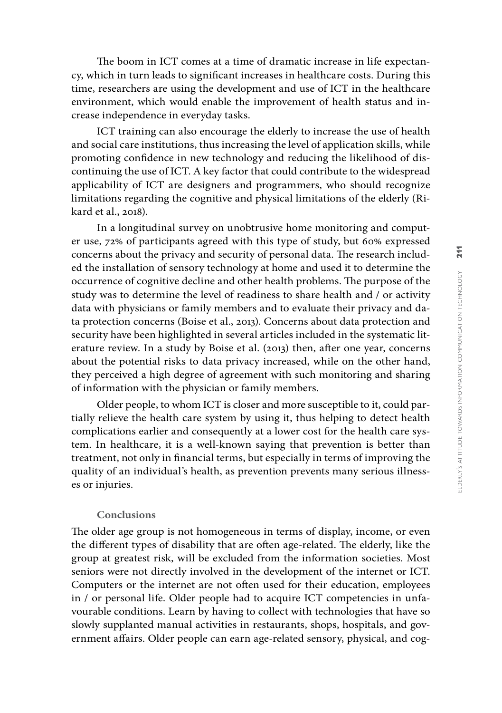The boom in ICT comes at a time of dramatic increase in life expectan cy, which in turn leads to significant increases in healthcare costs. During this time, researchers are using the development and use of ICT in the healthcare environment, which would enable the improvement of health status and in crease independence in everyday tasks.

ICT training can also encourage the elderly to increase the use of health and social care institutions, thus increasing the level of application skills, while promoting confidence in new technology and reducing the likelihood of dis continuing the use of ICT. A key factor that could contribute to the widespread applicability of ICT are designers and programmers, who should recognize limitations regarding the cognitive and physical limitations of the elderly (Ri kard et al., 2018).

In a longitudinal survey on unobtrusive home monitoring and comput er use, 72% of participants agreed with this type of study, but 60% expressed concerns about the privacy and security of personal data. The research includ ed the installation of sensory technology at home and used it to determine the occurrence of cognitive decline and other health problems. The purpose of the study was to determine the level of readiness to share health and / or activity data with physicians or family members and to evaluate their privacy and da ta protection concerns (Boise et al., 2013). Concerns about data protection and security have been highlighted in several articles included in the systematic lit erature review. In a study by Boise et al. (2013) then, after one year, concerns about the potential risks to data privacy increased, while on the other hand, they perceived a high degree of agreement with such monitoring and sharing of information with the physician or family members.

Older people, to whom ICT is closer and more susceptible to it, could par tially relieve the health care system by using it, thus helping to detect health complications earlier and consequently at a lower cost for the health care sys tem. In healthcare, it is a well-known saying that prevention is better than treatment, not only in financial terms, but especially in terms of improving the quality of an individual's health, as prevention prevents many serious illness es or injuries.

### **Conclusions**

The older age group is not homogeneous in terms of display, income, or even the different types of disability that are often age-related. The elderly, like the group at greatest risk, will be excluded from the information societies. Most seniors were not directly involved in the development of the internet or ICT. Computers or the internet are not often used for their education, employees in / or personal life. Older people had to acquire ICT competencies in unfa vourable conditions. Learn by having to collect with technologies that have so slowly supplanted manual activities in restaurants, shops, hospitals, and gov ernment affairs. Older people can earn age-related sensory, physical, and cog -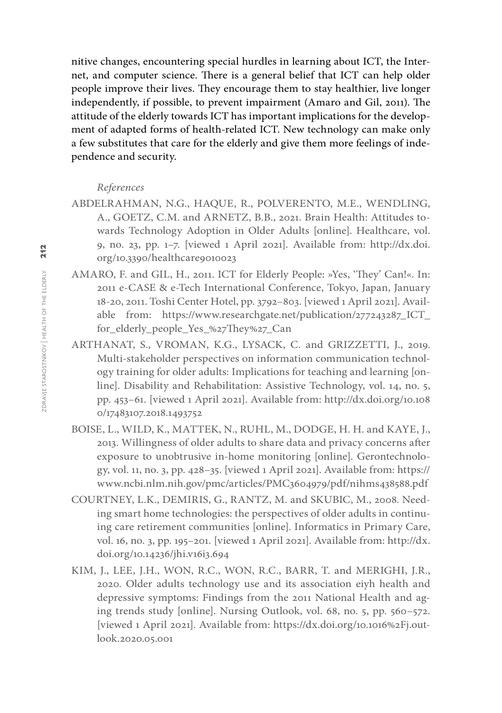nitive changes, encountering special hurdles in learning about ICT, the Internet, and computer science. There is a general belief that ICT can help older people improve their lives. They encourage them to stay healthier, live longer independently, if possible, to prevent impairment (Amaro and Gil, 2011). The attitude of the elderly towards ICT has important implications for the development of adapted forms of health-related ICT. New technology can make only a few substitutes that care for the elderly and give them more feelings of independence and security.

# *References*

- ABDELRAHMAN, N.G., HAQUE, R., POLVERENTO, M.E., WENDLING, A., GOETZ, C.M. and ARNETZ, B.B., 2021. Brain Health: Attitudes towards Technology Adoption in Older Adults [online]. Healthcare, vol. 9, no. 23, pp. 1–7. [viewed 1 April 2021]. Available from: [http://dx.doi.](http://dx.doi.org/10.3390/healthcare9010023) [org/10.3390/healthcare9010023](http://dx.doi.org/10.3390/healthcare9010023)
- AMARO, F. and GIL, H., 2011. ICT for Elderly People: »Yes, 'They' Can!«. In: 2011 e-CASE & e-Tech International Conference, Tokyo, Japan, January 18-20, 2011. Toshi Center Hotel, pp. 3792–803. [viewed 1 April 2021]. Available from: [https://www.researchgate.net/publication/277243287\\_ICT\\_](https://www.researchgate.net/publication/277243287_ICT_for_elderly_people_Yes_%27They%27_Can) [for\\_elderly\\_people\\_Yes\\_%27They%27\\_Can](https://www.researchgate.net/publication/277243287_ICT_for_elderly_people_Yes_%27They%27_Can)
- ARTHANAT, S., VROMAN, K.G., LYSACK, C. and GRIZZETTI, J., 2019. Multi-stakeholder perspectives on information communication technology training for older adults: Implications for teaching and learning [online]. Disability and Rehabilitation: Assistive Technology, vol. 14, no. 5, pp. 453–61. [viewed 1 April 2021]. Available from: [http://dx.doi.org/10.108](http://dx.doi.org/10.1080/17483107.2018.1493752) [0/17483107.2018.1493752](http://dx.doi.org/10.1080/17483107.2018.1493752)
- BOISE, L., WILD, K., MATTEK, N., RUHL, M., DODGE, H. H. and KAYE, J., 2013. Willingness of older adults to share data and privacy concerns after exposure to unobtrusive in-home monitoring [online]. Gerontechnology, vol. 11, no. 3, pp. 428–35. [viewed 1 April 2021]. Available from: [https://](https://www.ncbi.nlm.nih.gov/pmc/articles/PMC3604979/pdf/nihms438588.pdf) [www.ncbi.nlm.nih.gov/pmc/articles/PMC3604979/pdf/nihms438588.pdf](https://www.ncbi.nlm.nih.gov/pmc/articles/PMC3604979/pdf/nihms438588.pdf)
- COURTNEY, L.K., DEMIRIS, G., RANTZ, M. and SKUBIC, M., 2008. Needing smart home technologies: the perspectives of older adults in continuing care retirement communities [online]. Informatics in Primary Care, vol. 16, no. 3, pp. 195–201. [viewed 1 April 2021]. Available from: [http://dx.](http://dx.doi.org/10.14236/jhi.v16i3.694) [doi.org/10.14236/jhi.v16i3.694](http://dx.doi.org/10.14236/jhi.v16i3.694)
- KIM, J., LEE, J.H., WON, R.C., WON, R.C., BARR, T. and MERIGHI, J.R., 2020. Older adults technology use and its association eiyh health and depressive symptoms: Findings from the 2011 National Health and aging trends study [online]. Nursing Outlook, vol. 68, no. 5, pp. 560–572. [viewed 1 April 2021]. Available from: [https://dx.doi.org/10.1016%2Fj.out](https://dx.doi.org/10.1016%2Fj.outlook.2020.05.001)[look.2020.05.001](https://dx.doi.org/10.1016%2Fj.outlook.2020.05.001)